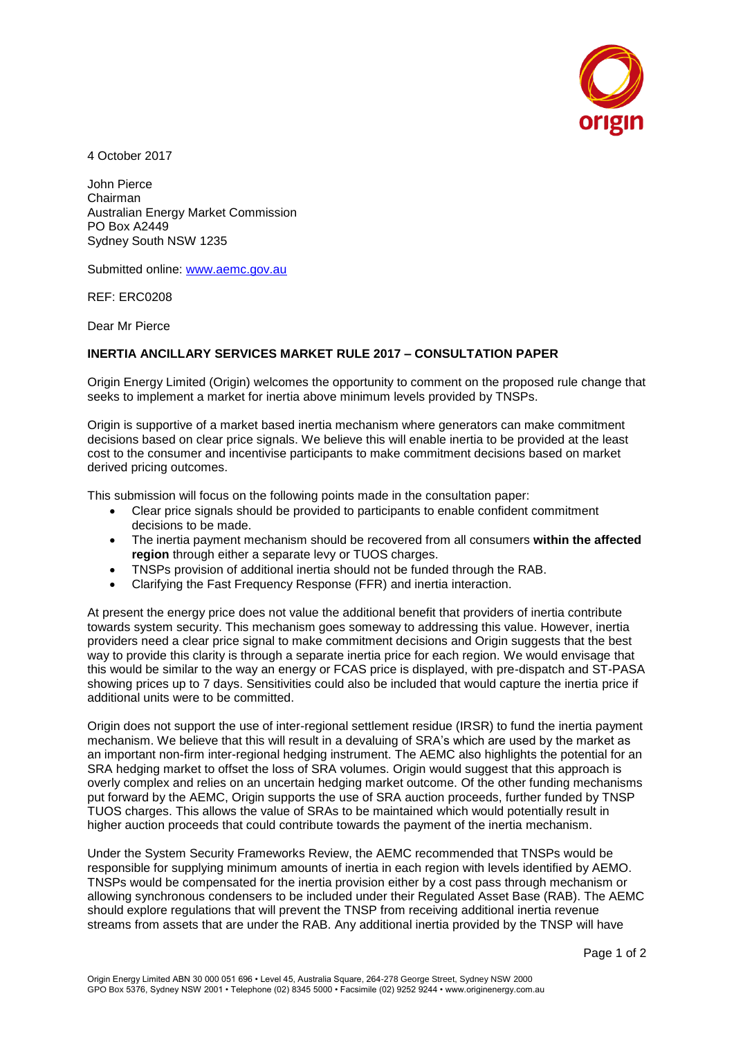

4 October 2017

John Pierce Chairman Australian Energy Market Commission PO Box A2449 Sydney South NSW 1235

Submitted online: [www.aemc.gov.au](http://www.aemc.gov.au/)

REF: ERC0208

Dear Mr Pierce

## **INERTIA ANCILLARY SERVICES MARKET RULE 2017 – CONSULTATION PAPER**

Origin Energy Limited (Origin) welcomes the opportunity to comment on the proposed rule change that seeks to implement a market for inertia above minimum levels provided by TNSPs.

Origin is supportive of a market based inertia mechanism where generators can make commitment decisions based on clear price signals. We believe this will enable inertia to be provided at the least cost to the consumer and incentivise participants to make commitment decisions based on market derived pricing outcomes.

This submission will focus on the following points made in the consultation paper:

- Clear price signals should be provided to participants to enable confident commitment decisions to be made.
- The inertia payment mechanism should be recovered from all consumers **within the affected region** through either a separate levy or TUOS charges.
- TNSPs provision of additional inertia should not be funded through the RAB.
- Clarifying the Fast Frequency Response (FFR) and inertia interaction.

At present the energy price does not value the additional benefit that providers of inertia contribute towards system security. This mechanism goes someway to addressing this value. However, inertia providers need a clear price signal to make commitment decisions and Origin suggests that the best way to provide this clarity is through a separate inertia price for each region. We would envisage that this would be similar to the way an energy or FCAS price is displayed, with pre-dispatch and ST-PASA showing prices up to 7 days. Sensitivities could also be included that would capture the inertia price if additional units were to be committed.

Origin does not support the use of inter-regional settlement residue (IRSR) to fund the inertia payment mechanism. We believe that this will result in a devaluing of SRA's which are used by the market as an important non-firm inter-regional hedging instrument. The AEMC also highlights the potential for an SRA hedging market to offset the loss of SRA volumes. Origin would suggest that this approach is overly complex and relies on an uncertain hedging market outcome. Of the other funding mechanisms put forward by the AEMC, Origin supports the use of SRA auction proceeds, further funded by TNSP TUOS charges. This allows the value of SRAs to be maintained which would potentially result in higher auction proceeds that could contribute towards the payment of the inertia mechanism.

Under the System Security Frameworks Review, the AEMC recommended that TNSPs would be responsible for supplying minimum amounts of inertia in each region with levels identified by AEMO. TNSPs would be compensated for the inertia provision either by a cost pass through mechanism or allowing synchronous condensers to be included under their Regulated Asset Base (RAB). The AEMC should explore regulations that will prevent the TNSP from receiving additional inertia revenue streams from assets that are under the RAB. Any additional inertia provided by the TNSP will have